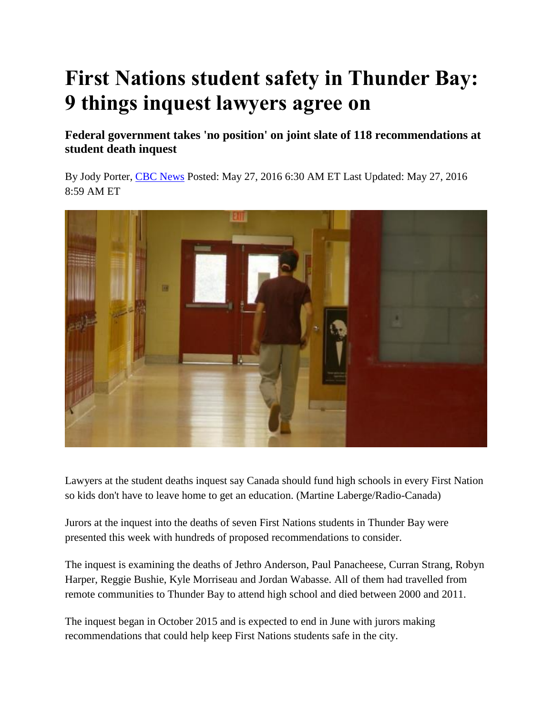## **First Nations student safety in Thunder Bay: 9 things inquest lawyers agree on**

**Federal government takes 'no position' on joint slate of 118 recommendations at student death inquest**

By Jody Porter, [CBC News](http://www.cbc.ca/news/cbc-news-online-news-staff-list-1.1294364) Posted: May 27, 2016 6:30 AM ET Last Updated: May 27, 2016 8:59 AM ET



Lawyers at the student deaths inquest say Canada should fund high schools in every First Nation so kids don't have to leave home to get an education. (Martine Laberge/Radio-Canada)

Jurors at the inquest into the deaths of seven First Nations students in Thunder Bay were presented this week with hundreds of proposed recommendations to consider.

The inquest is examining the deaths of Jethro Anderson, Paul Panacheese, Curran Strang, Robyn Harper, Reggie Bushie, Kyle Morriseau and Jordan Wabasse. All of them had travelled from remote communities to Thunder Bay to attend high school and died between 2000 and 2011.

The inquest began in October 2015 and is expected to end in June with jurors making recommendations that could help keep First Nations students safe in the city.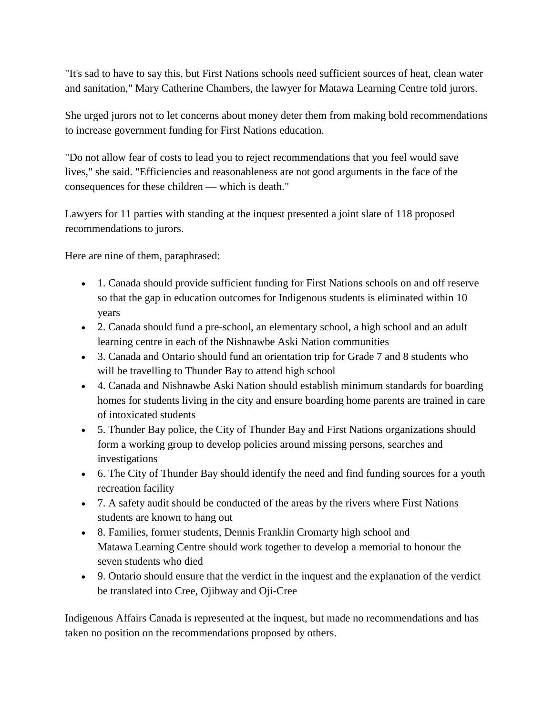"It's sad to have to say this, but First Nations schools need sufficient sources of heat, clean water and sanitation," Mary Catherine Chambers, the lawyer for Matawa Learning Centre told jurors.

She urged jurors not to let concerns about money deter them from making bold recommendations to increase government funding for First Nations education.

"Do not allow fear of costs to lead you to reject recommendations that you feel would save lives," she said. "Efficiencies and reasonableness are not good arguments in the face of the consequences for these children — which is death."

Lawyers for 11 parties with standing at the inquest presented a joint slate of 118 proposed recommendations to jurors.

Here are nine of them, paraphrased:

- 1. Canada should provide sufficient funding for First Nations schools on and off reserve so that the gap in education outcomes for Indigenous students is eliminated within 10 years
- 2. Canada should fund a pre-school, an elementary school, a high school and an adult learning centre in each of the Nishnawbe Aski Nation communities
- 3. Canada and Ontario should fund an orientation trip for Grade 7 and 8 students who will be travelling to Thunder Bay to attend high school
- 4. Canada and Nishnawbe Aski Nation should establish minimum standards for boarding homes for students living in the city and ensure boarding home parents are trained in care of intoxicated students
- 5. Thunder Bay police, the City of Thunder Bay and First Nations organizations should form a working group to develop policies around missing persons, searches and investigations
- 6. The City of Thunder Bay should identify the need and find funding sources for a youth recreation facility
- 7. A safety audit should be conducted of the areas by the rivers where First Nations students are known to hang out
- 8. Families, former students, Dennis Franklin Cromarty high school and Matawa Learning Centre should work together to develop a memorial to honour the seven students who died
- 9. Ontario should ensure that the verdict in the inquest and the explanation of the verdict be translated into Cree, Ojibway and Oji-Cree

Indigenous Affairs Canada is represented at the inquest, but made no recommendations and has taken no position on the recommendations proposed by others.